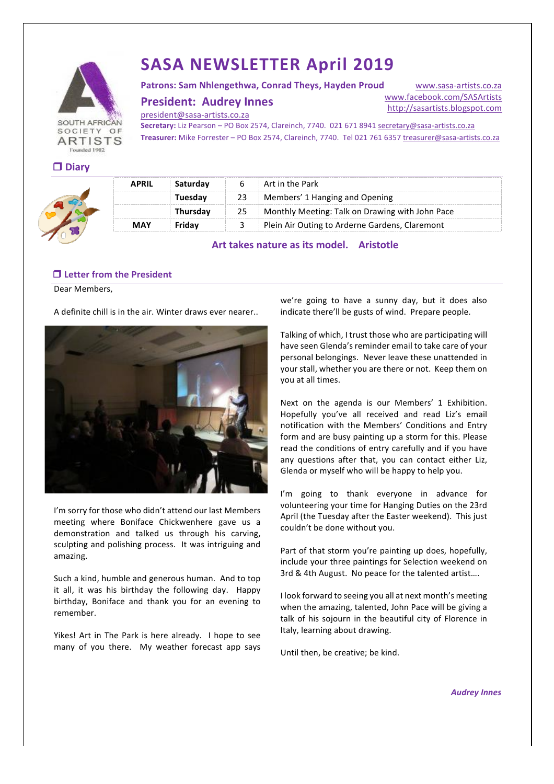

# **SASA NEWSLETTER April 2019**

Patrons: Sam Nhlengethwa, Conrad Theys, Hayden Proud

**President: Audrey Innes** 

www.sasa-artists.co.za www.facebook.com/SASArtists http://sasartists.blogspot.com

president@sasa-artists.co.za

Secretary: Liz Pearson – PO Box 2574, Clareinch, 7740. 021 671 8941 secretary@sasa-artists.co.za Treasurer: Mike Forrester – PO Box 2574, Clareinch, 7740. Tel 021 761 6357 treasurer@sasa-artists.co.za

| <b>COLLEGE</b> | .<br>× |
|----------------|--------|
|                |        |



| <b>APRIL</b> | Saturdav | Art in the Park                                      |
|--------------|----------|------------------------------------------------------|
|              | Tuesdav  | 23 Members' 1 Hanging and Opening                    |
|              | Thursdav | 25   Monthly Meeting: Talk on Drawing with John Pace |
| <b>MAY</b>   | Fridav   | Plein Air Outing to Arderne Gardens, Claremont       |

Art takes nature as its model. Aristotle

# **□ Letter from the President**

Dear Members,

A definite chill is in the air. Winter draws ever nearer..



I'm sorry for those who didn't attend our last Members meeting where Boniface Chickwenhere gave us a demonstration and talked us through his carving, sculpting and polishing process. It was intriguing and amazing.

Such a kind, humble and generous human. And to top it all, it was his birthday the following day. Happy birthday, Boniface and thank you for an evening to remember.

Yikes! Art in The Park is here already. I hope to see many% of% you% there.% % My% weather% forecast% app% says%

we're going to have a sunny day, but it does also indicate there'll be gusts of wind. Prepare people.

Talking of which, I trust those who are participating will have seen Glenda's reminder email to take care of your personal belongings. Never leave these unattended in your stall, whether you are there or not. Keep them on you at all times.

Next on the agenda is our Members' 1 Exhibition. Hopefully you've all received and read Liz's email notification with the Members' Conditions and Entry form and are busy painting up a storm for this. Please read the conditions of entry carefully and if you have any questions after that, you can contact either Liz, Glenda or myself who will be happy to help you.

I'm going to thank everyone in advance for volunteering your time for Hanging Duties on the 23rd April (the Tuesday after the Easter weekend). This just couldn't be done without you.

Part of that storm you're painting up does, hopefully, include your three paintings for Selection weekend on 3rd & 4th August. No peace for the talented artist....

I look forward to seeing you all at next month's meeting when the amazing, talented, John Pace will be giving a talk of his sojourn in the beautiful city of Florence in Italy, learning about drawing.

Until then, be creative; be kind.

*Audrey'Innes*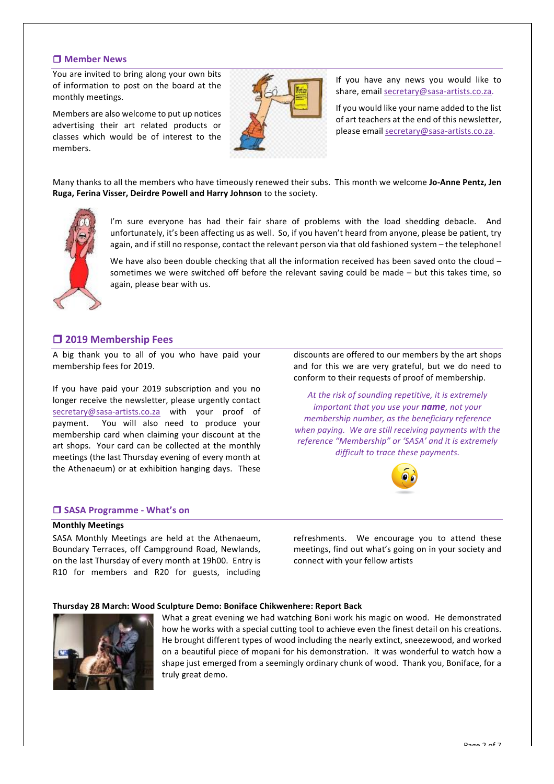## $\Box$  **Member News**

You are invited to bring along your own bits of information to post on the board at the monthly meetings.

Members are also welcome to put up notices advertising their art related products or classes which would be of interest to the members.



If you have any news you would like to share, email secretary@sasa-artists.co.za.

If you would like your name added to the list of art teachers at the end of this newsletter, please email secretary@sasa-artists.co.za.

Many thanks to all the members who have timeously renewed their subs. This month we welcome Jo-Anne Pentz, Jen **Ruga, Ferina Visser, Deirdre Powell and Harry Johnson** to the society.



I'm sure everyone has had their fair share of problems with the load shedding debacle. And unfortunately, it's been affecting us as well. So, if you haven't heard from anyone, please be patient, try again, and if still no response, contact the relevant person via that old fashioned system – the telephone!

We have also been double checking that all the information received has been saved onto the cloud – sometimes we were switched off before the relevant saving could be made – but this takes time, so again, please bear with us.

# $\Box$  **2019 Membership Fees**

A big thank you to all of you who have paid your membership fees for 2019.

If you have paid your 2019 subscription and you no longer receive the newsletter, please urgently contact secretary@sasa-artists.co.za with your proof of payment. You will also need to produce your membership card when claiming your discount at the art shops. Your card can be collected at the monthly meetings (the last Thursday evening of every month at the Athenaeum) or at exhibition hanging days. These

discounts are offered to our members by the art shops and for this we are very grateful, but we do need to conform to their requests of proof of membership.

At the risk of sounding repetitive, it is extremely *important that you use your name, not your membership number, as the beneficiary reference* when paying. We are still receiving payments with the *reference "Membership" or 'SASA' and it is extremely* difficult to trace these payments.



#### $\square$  **SASA Programme - What's on**

#### **Monthly#Meetings**

SASA Monthly Meetings are held at the Athenaeum, Boundary Terraces, off Campground Road, Newlands, on the last Thursday of every month at 19h00. Entry is R10 for members and R20 for guests, including refreshments. We encourage you to attend these meetings, find out what's going on in your society and connect with your fellow artists

#### **Thursday#28#March:#Wood#Sculpture#Demo:#Boniface#Chikwenhere: Report#Back**



What a great evening we had watching Boni work his magic on wood. He demonstrated how he works with a special cutting tool to achieve even the finest detail on his creations. He brought different types of wood including the nearly extinct, sneezewood, and worked on a beautiful piece of mopani for his demonstration. It was wonderful to watch how a shape just emerged from a seemingly ordinary chunk of wood. Thank you, Boniface, for a truly great demo.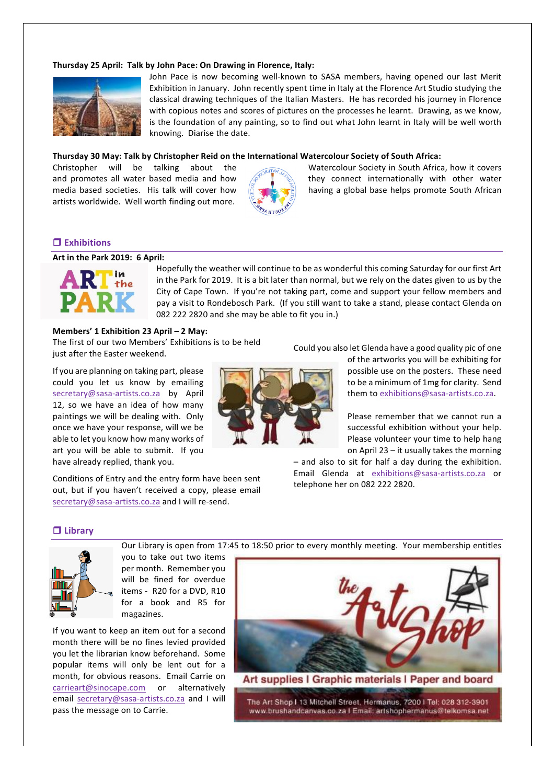#### **Thursday 25 April: Talk by John Pace: On Drawing in Florence, Italy:**



John Pace is now becoming well-known to SASA members, having opened our last Merit Exhibition in January. John recently spent time in Italy at the Florence Art Studio studying the classical drawing techniques of the Italian Masters. He has recorded his journey in Florence with copious notes and scores of pictures on the processes he learnt. Drawing, as we know, is the foundation of any painting, so to find out what John learnt in Italy will be well worth knowing. Diarise the date.

#### Thursday 30 May: Talk by Christopher Reid on the International Watercolour Society of South Africa:

artists worldwide. Well worth finding out more.



Christopher will be talking about the  $W_0$  Watercolour Society in South Africa, how it covers and promotes all water based media and how  $\log_{10}$  they connect internationally with other water media based societies. His talk will cover how  $\frac{1}{2}$   $\frac{1}{8}$  having a global base helps promote South African

## ! **Exhibitions**

## **Art in the Park 2019: 6 April:**



Hopefully the weather will continue to be as wonderful this coming Saturday for our first Art in the Park for 2019. It is a bit later than normal, but we rely on the dates given to us by the City of Cape Town. If you're not taking part, come and support your fellow members and pay a visit to Rondebosch Park. (If you still want to take a stand, please contact Glenda on 082 222 2820 and she may be able to fit you in.)

Our Library is open from 17:45 to 18:50 prior to every monthly meeting. Your membership entitles

#### **Members' 1 Exhibition 23 April – 2 May:**

The first of our two Members' Exhibitions is to be held just after the Easter weekend.

If you are planning on taking part, please could you let us know by emailing secretary@sasa-artists.co.za by April 12, so we have an idea of how many paintings we will be dealing with. Only once we have your response, will we be able to let you know how many works of art you will be able to submit. If you have already replied, thank you.

Conditions of Entry and the entry form have been sent out, but if you haven't received a copy, please email secretary@sasa-artists.co.za and I will re-send.



of the artworks you will be exhibiting for possible use on the posters. These need to be a minimum of 1mg for clarity. Send them to exhibitions@sasa-artists.co.za.

Please remember that we cannot run a successful exhibition without your help. Please volunteer your time to help hang on April 23 – it usually takes the morning

 $-$  and also to sit for half a day during the exhibition. Email% Glenda% at% exhibitions@sasa-artists.co.za or% telephone her on 082 222 2820.

#### ! **Library**



you to take out two items per month. Remember you will be fined for overdue items - R20 for a DVD, R10 for a book and R5 for magazines.

If you want to keep an item out for a second month there will be no fines levied provided you let the librarian know beforehand. Some popular items will only be lent out for a month, for obvious reasons. Email Carrie on carrieart@sinocape.com or alternatively email secretary@sasa-artists.co.za and I will pass the message on to Carrie.



Art supplies I Graphic materials I Paper and board

The Art Shop I 13 Mitchell Street, Hermanus, 7200 I Tel: 028 312-3901 www.brushandcanvas.co.za I Email: artshophermanus@telkomsa.net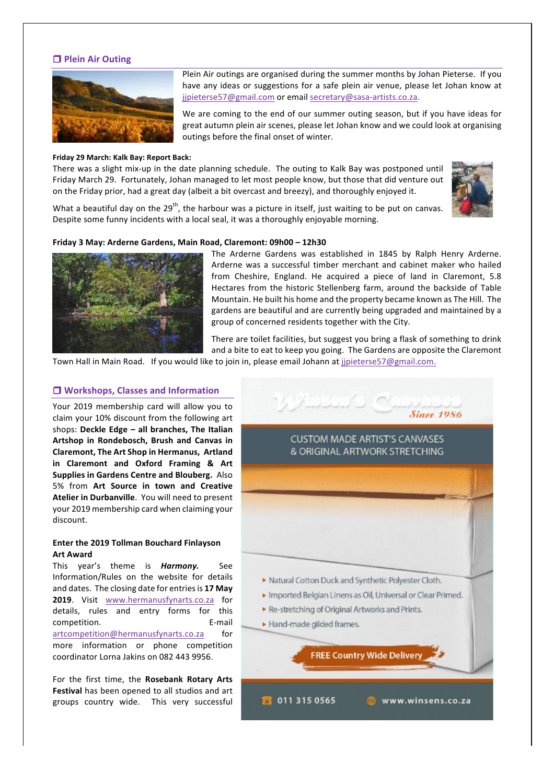## $\Box$  **Plein Air Outing**



#### **Friday 29 March: Kalk Bay: Report Back:**

There was a slight mix-up in the date planning schedule. The outing to Kalk Bay was postponed until Friday March 29. Fortunately, Johan managed to let most people know, but those that did venture out on the Friday prior, had a great day (albeit a bit overcast and breezy), and thoroughly enjoyed it.



What a beautiful day on the 29<sup>th</sup>, the harbour was a picture in itself, just waiting to be put on canvas. Despite some funny incidents with a local seal, it was a thoroughly enjoyable morning.

## **Friday#3#May: Arderne#Gardens,#Main#Road,#Claremont: 09h00 – 12h30**



The Arderne Gardens was established in 1845 by Ralph Henry Arderne. Arderne was a successful timber merchant and cabinet maker who hailed from Cheshire, England. He acquired a piece of land in Claremont, 5.8 Hectares from the historic Stellenberg farm, around the backside of Table Mountain. He built his home and the property became known as The Hill. The gardens are beautiful and are currently being upgraded and maintained by a group of concerned residents together with the City.

There are toilet facilities, but suggest you bring a flask of something to drink and a bite to eat to keep you going. The Gardens are opposite the Claremont

Town Hall in Main Road. If you would like to join in, please email Johann at jjpieterse57@gmail.com.

#### $\Box$  **Workshops, Classes and Information**

Your 2019 membership card will allow you to claim your  $10\%$  discount from the following art shops: Deckle Edge – all branches, The Italian Artshop in Rondebosch, Brush and Canvas in **Claremont, The Art Shop in Hermanus, Artland in Claremont and Oxford Framing & Art Supplies in Gardens Centre and Blouberg.** Also 5% from Art Source in town and Creative Atelier in Durbanville. You will need to present your 2019 membership card when claiming your discount.

#### **Enter the 2019 Tollman Bouchard Finlayson Art Award**

This% year's% theme% is% *Harmony.'* See Information/Rules on the website for details and dates. The closing date for entries is 17 May **2019.** Visit www.hermanusfynarts.co.za for details, rules and entry forms for this competition. 
E-mail artcompetition@hermanusfynarts.co.za for more information or phone competition coordinator Lorna Jakins on 082 443 9956.

For the first time, the Rosebank Rotary Arts **Festival** has been opened to all studios and art groups country wide. This very successful

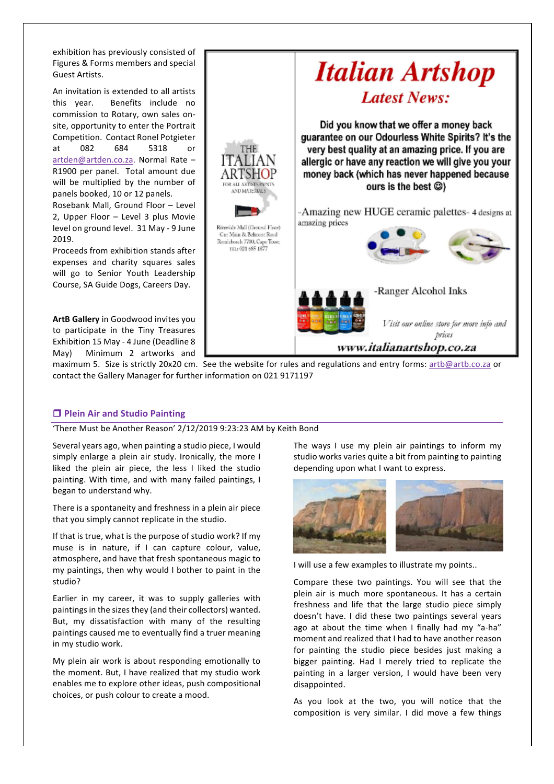exhibition has previously consisted of Figures & Forms members and special Guest Artists.

An invitation is extended to all artists this year. Benefits include no commission to Rotary, own sales onsite, opportunity to enter the Portrait Competition. Contact Ronel Potgieter at 082 684 5318 or artden@artden.co.za. Normal Rate – R1900 per panel. Total amount due will be multiplied by the number of panels booked, 10 or 12 panels.

Rosebank Mall, Ground Floor – Level 2, Upper Floor – Level 3 plus Movie level on ground level. 31 May - 9 June 2019.

Proceeds from exhibition stands after expenses and charity squares sales will go to Senior Youth Leadership Course, SA Guide Dogs, Careers Day.

**ArtB Gallery** in Goodwood invites you to participate in the Tiny Treasures Exhibition 15 May - 4 June (Deadline 8) May) Minimum 2 artworks and



maximum 5. Size is strictly 20x20 cm. See the website for rules and regulations and entry forms: artb@artb.co.za or contact the Gallery Manager for further information on 021 9171197

## $\Box$  **Plein Air and Studio Painting**

'There Must be Another Reason' 2/12/2019 9:23:23 AM by Keith Bond

Several years ago, when painting a studio piece, I would simply enlarge a plein air study. Ironically, the more I liked the plein air piece, the less I liked the studio painting. With time, and with many failed paintings, I began to understand why.

There is a spontaneity and freshness in a plein air piece that you simply cannot replicate in the studio.

If that is true, what is the purpose of studio work? If my muse is in nature, if I can capture colour, value, atmosphere, and have that fresh spontaneous magic to my paintings, then why would I bother to paint in the studio?

Earlier in my career, it was to supply galleries with paintings in the sizes they (and their collectors) wanted. But, my dissatisfaction with many of the resulting paintings caused me to eventually find a truer meaning in my studio work.

My plein air work is about responding emotionally to the moment. But, I have realized that my studio work enables me to explore other ideas, push compositional choices, or push colour to create a mood.

The ways I use my plein air paintings to inform my studio works varies quite a bit from painting to painting depending upon what I want to express.



I will use a few examples to illustrate my points..

Compare these two paintings. You will see that the plein air is much more spontaneous. It has a certain freshness and life that the large studio piece simply doesn't have. I did these two paintings several years ago at about the time when I finally had my "a-ha" moment and realized that I had to have another reason for painting the studio piece besides just making a bigger painting. Had I merely tried to replicate the painting in a larger version, I would have been very disappointed.

As you look at the two, you will notice that the composition is very similar. I did move a few things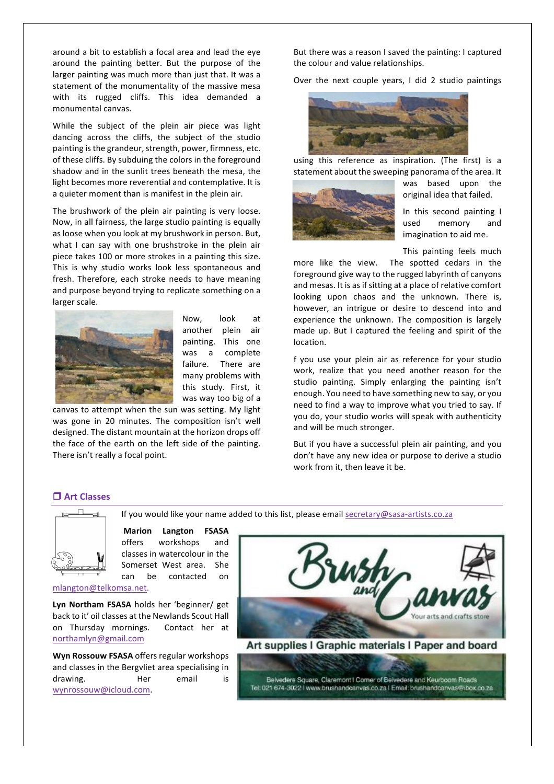around a bit to establish a focal area and lead the eye around the painting better. But the purpose of the larger painting was much more than just that. It was a statement of the monumentality of the massive mesa with its rugged cliffs. This idea demanded a monumental canvas.

While the subject of the plein air piece was light dancing across the cliffs, the subject of the studio painting is the grandeur, strength, power, firmness, etc. of these cliffs. By subduing the colors in the foreground shadow and in the sunlit trees beneath the mesa, the light becomes more reverential and contemplative. It is a quieter moment than is manifest in the plein air.

The brushwork of the plein air painting is very loose. Now, in all fairness, the large studio painting is equally as loose when you look at my brushwork in person. But, what I can say with one brushstroke in the plein air piece takes 100 or more strokes in a painting this size. This is why studio works look less spontaneous and fresh. Therefore, each stroke needs to have meaning and purpose beyond trying to replicate something on a larger scale.



Now, look at another plein air painting. This one was a complete failure. There are many problems with this study. First, it was way too big of a

If you would like your name added to this list, please email secretary@sasa-artists.co.za

canvas to attempt when the sun was setting. My light was gone in 20 minutes. The composition isn't well designed. The distant mountain at the horizon drops off the face of the earth on the left side of the painting. There isn't really a focal point.

But there was a reason I saved the painting: I captured the colour and value relationships.

Over the next couple years, I did 2 studio paintings



using this reference as inspiration. (The first) is a statement about the sweeping panorama of the area. It



was based upon the original idea that failed.

In this second painting  $I$ used memory and imagination to aid me.

This painting feels much

more like the view. The spotted cedars in the foreground give way to the rugged labyrinth of canyons and mesas. It is as if sitting at a place of relative comfort looking upon chaos and the unknown. There is, however, an intrigue or desire to descend into and experience the unknown. The composition is largely made up. But I captured the feeling and spirit of the location.

f you use your plein air as reference for your studio work, realize that you need another reason for the studio painting. Simply enlarging the painting isn't enough. You need to have something new to say, or you need to find a way to improve what you tried to say. If you do, your studio works will speak with authenticity and will be much stronger.

But if you have a successful plein air painting, and you don't have any new idea or purpose to derive a studio work from it, then leave it be.

## □ Art Classes



**Marion# Langton FSASA** offers workshops and classes in watercolour in the Somerset West area. She can be contacted on

mlangton@telkomsa.net.%

Lyn Northam FSASA holds her 'beginner/ get back to it' oil classes at the Newlands Scout Hall on Thursday mornings. Contact her at northamlyn@gmail.com

**Wyn Rossouw FSASA** offers regular workshops and classes in the Bergvliet area specialising in drawing. 
Her email is wynrossouw@icloud.com.%